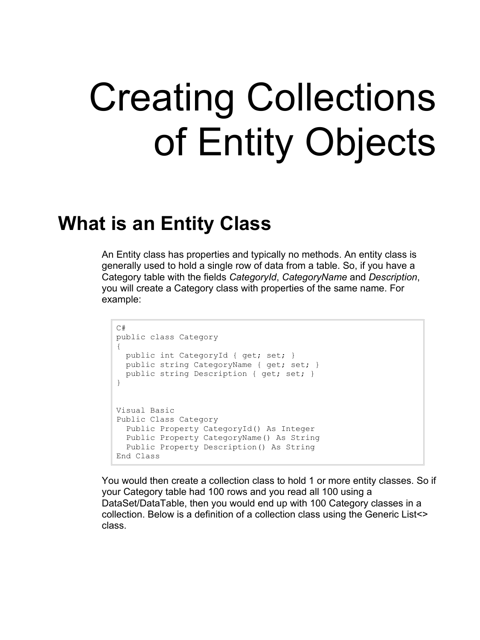## Creating Collections of Entity Objects

## **What is an Entity Class**

An Entity class has properties and typically no methods. An entity class is generally used to hold a single row of data from a table. So, if you have a Category table with the fields *CategoryId*, *CategoryName* and *Description*, you will create a Category class with properties of the same name. For example:

```
C#public class Category
{
 public int CategoryId { get; set; }
public string CategoryName { get; set; }
  public string Description { get; set; }
}
Visual Basic
Public Class Category
  Public Property CategoryId() As Integer
  Public Property CategoryName() As String
  Public Property Description() As String
End Class
```
You would then create a collection class to hold 1 or more entity classes. So if your Category table had 100 rows and you read all 100 using a DataSet/DataTable, then you would end up with 100 Category classes in a collection. Below is a definition of a collection class using the Generic List<> class.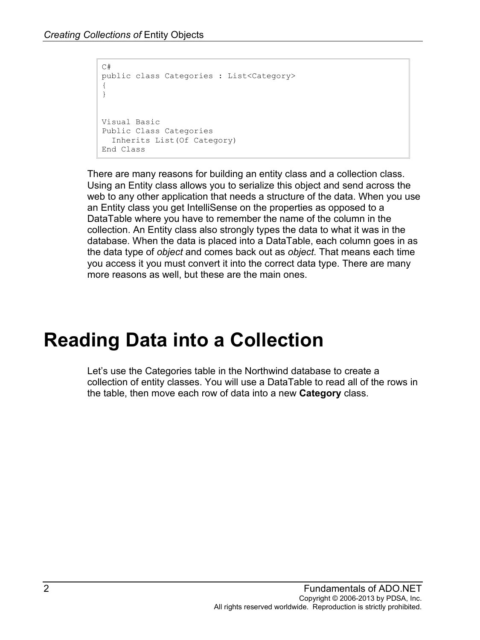```
C#public class Categories : List<Category>
{
}
Visual Basic
Public Class Categories
  Inherits List(Of Category)
End Class
```
There are many reasons for building an entity class and a collection class. Using an Entity class allows you to serialize this object and send across the web to any other application that needs a structure of the data. When you use an Entity class you get IntelliSense on the properties as opposed to a DataTable where you have to remember the name of the column in the collection. An Entity class also strongly types the data to what it was in the database. When the data is placed into a DataTable, each column goes in as the data type of *object* and comes back out as *object*. That means each time you access it you must convert it into the correct data type. There are many more reasons as well, but these are the main ones.

## **Reading Data into a Collection**

Let's use the Categories table in the Northwind database to create a collection of entity classes. You will use a DataTable to read all of the rows in the table, then move each row of data into a new **Category** class.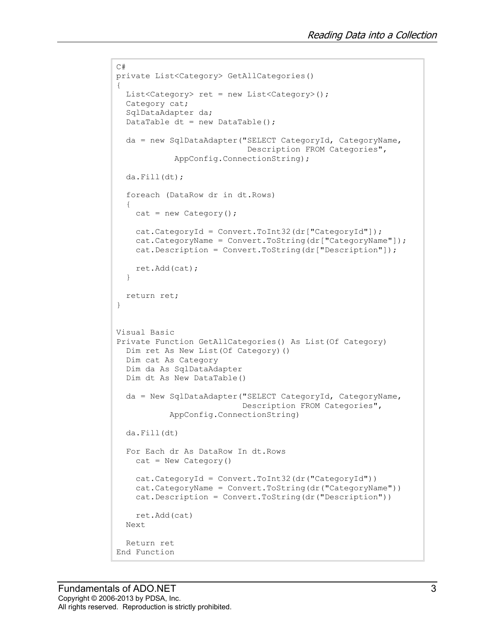```
C#
private List<Category> GetAllCategories()
{
  List<Category> ret = new List<Category>();
   Category cat;
   SqlDataAdapter da;
  DataTable dt = new DataFrame();
   da = new SqlDataAdapter("SELECT CategoryId, CategoryName,
                             Description FROM Categories",
             AppConfig.ConnectionString);
   da.Fill(dt);
   foreach (DataRow dr in dt.Rows)
   {
    cat = new Categorical(y);
    cat.CategoryId = Convert.ToInt32(dr["CategoryId"]);
     cat.CategoryName = Convert.ToString(dr["CategoryName"]);
     cat.Description = Convert.ToString(dr["Description"]);
     ret.Add(cat);
   }
  return ret;
}
Visual Basic
Private Function GetAllCategories() As List(Of Category)
   Dim ret As New List(Of Category)()
   Dim cat As Category
   Dim da As SqlDataAdapter
   Dim dt As New DataTable()
   da = New SqlDataAdapter("SELECT CategoryId, CategoryName,
                            Description FROM Categories",
            AppConfig.ConnectionString)
   da.Fill(dt)
   For Each dr As DataRow In dt.Rows
    cat = New Category()
     cat.CategoryId = Convert.ToInt32(dr("CategoryId"))
     cat.CategoryName = Convert.ToString(dr("CategoryName"))
     cat.Description = Convert.ToString(dr("Description"))
     ret.Add(cat)
   Next
   Return ret
End Function
```